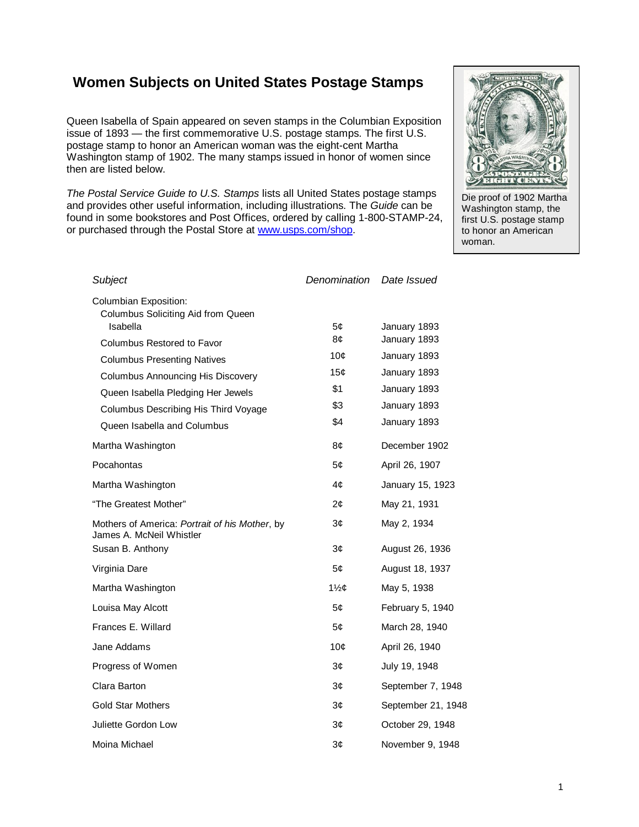## **Women Subjects on United States Postage Stamps**

Queen Isabella of Spain appeared on seven stamps in the Columbian Exposition issue of 1893 — the first commemorative U.S. postage stamps. The first U.S. postage stamp to honor an American woman was the eight-cent Martha Washington stamp of 1902. The many stamps issued in honor of women since then are listed below.

*The Postal Service Guide to U.S. Stamps* lists all United States postage stamps and provides other useful information, including illustrations. The *Guide* can be found in some bookstores and Post Offices, ordered by calling 1-800-STAMP-24, or purchased through the Postal Store at www.usps.com/shop.



Die proof of 1902 Martha Washington stamp, the first U.S. postage stamp to honor an American woman.

| Subject                                                                    | Denomination     | Date Issued                  |
|----------------------------------------------------------------------------|------------------|------------------------------|
| <b>Columbian Exposition:</b><br>Columbus Soliciting Aid from Queen         |                  |                              |
| Isabella                                                                   | 5¢<br>8¢         | January 1893<br>January 1893 |
| Columbus Restored to Favor                                                 | 10 <sub>c</sub>  | January 1893                 |
| <b>Columbus Presenting Natives</b>                                         | 15 <sub>c</sub>  | January 1893                 |
| <b>Columbus Announcing His Discovery</b>                                   | \$1              | January 1893                 |
| Queen Isabella Pledging Her Jewels                                         | \$3              | January 1893                 |
| Columbus Describing His Third Voyage<br>Queen Isabella and Columbus        | \$4              | January 1893                 |
| Martha Washington                                                          | 8¢               | December 1902                |
| Pocahontas                                                                 | 5¢               | April 26, 1907               |
| Martha Washington                                                          | 4¢               | January 15, 1923             |
| "The Greatest Mother"                                                      | 2¢               | May 21, 1931                 |
| Mothers of America: Portrait of his Mother, by<br>James A. McNeil Whistler | 3¢               | May 2, 1934                  |
| Susan B. Anthony                                                           | 3¢               | August 26, 1936              |
| Virginia Dare                                                              | 5¢               | August 18, 1937              |
| Martha Washington                                                          | $1\frac{1}{2}$ ¢ | May 5, 1938                  |
| Louisa May Alcott                                                          | 5¢               | February 5, 1940             |
| Frances E. Willard                                                         | 5¢               | March 28, 1940               |
| Jane Addams                                                                | 10¢              | April 26, 1940               |
| Progress of Women                                                          | 3¢               | July 19, 1948                |
| Clara Barton                                                               | 3¢               | September 7, 1948            |
| <b>Gold Star Mothers</b>                                                   | 3¢               | September 21, 1948           |
| Juliette Gordon Low                                                        | 3¢               | October 29, 1948             |
| Moina Michael                                                              | 3¢               | November 9, 1948             |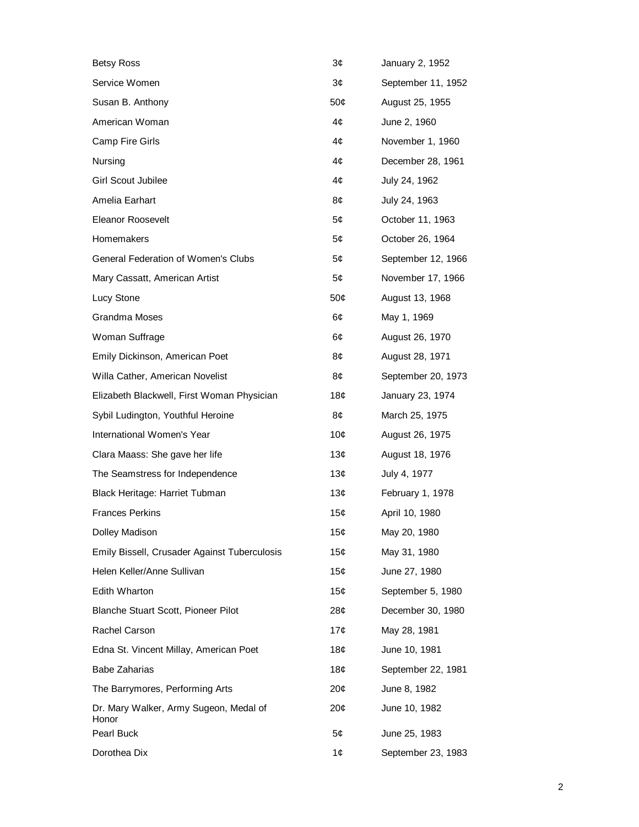| <b>Betsy Ross</b>                               | 3¢                             | January 2, 1952    |
|-------------------------------------------------|--------------------------------|--------------------|
| Service Women                                   | 3¢                             | September 11, 1952 |
| Susan B. Anthony                                | 50¢                            | August 25, 1955    |
| American Woman                                  | 4¢                             | June 2, 1960       |
| <b>Camp Fire Girls</b>                          | 4¢                             | November 1, 1960   |
| Nursing                                         | 4¢                             | December 28, 1961  |
| Girl Scout Jubilee                              | 4¢                             | July 24, 1962      |
| Amelia Earhart                                  | 8¢                             | July 24, 1963      |
| <b>Eleanor Roosevelt</b>                        | 5¢                             | October 11, 1963   |
| Homemakers                                      | 5¢                             | October 26, 1964   |
| <b>General Federation of Women's Clubs</b>      | 5¢                             | September 12, 1966 |
| Mary Cassatt, American Artist                   | 5¢                             | November 17, 1966  |
| Lucy Stone                                      | 50¢                            | August 13, 1968    |
| Grandma Moses                                   | 6¢                             | May 1, 1969        |
| Woman Suffrage                                  | 6¢                             | August 26, 1970    |
| Emily Dickinson, American Poet                  | 8¢                             | August 28, 1971    |
| Willa Cather, American Novelist                 | 8¢                             | September 20, 1973 |
| Elizabeth Blackwell, First Woman Physician      | 18¢                            | January 23, 1974   |
| Sybil Ludington, Youthful Heroine               | 8¢                             | March 25, 1975     |
| International Women's Year                      | 10¢                            | August 26, 1975    |
| Clara Maass: She gave her life                  | 13 <sub>c</sub>                | August 18, 1976    |
| The Seamstress for Independence                 | 13¢                            | July 4, 1977       |
| Black Heritage: Harriet Tubman                  | 13¢                            | February 1, 1978   |
| <b>Frances Perkins</b>                          | 15¢                            | April 10, 1980     |
| Dolley Madison                                  | 15¢                            | May 20, 1980       |
| Emily Bissell, Crusader Against Tuberculosis    | 15¢                            | May 31, 1980       |
| Helen Keller/Anne Sullivan                      | 15 $\boldsymbol{\mathfrak{c}}$ | June 27, 1980      |
| <b>Edith Wharton</b>                            | 15¢                            | September 5, 1980  |
| Blanche Stuart Scott, Pioneer Pilot             | 28 <sub>c</sub>                | December 30, 1980  |
| Rachel Carson                                   | 17¢                            | May 28, 1981       |
| Edna St. Vincent Millay, American Poet          | 18 <sub>c</sub>                | June 10, 1981      |
| <b>Babe Zaharias</b>                            | 18¢                            | September 22, 1981 |
| The Barrymores, Performing Arts                 | 20¢                            | June 8, 1982       |
| Dr. Mary Walker, Army Sugeon, Medal of<br>Honor | 20¢                            | June 10, 1982      |
| Pearl Buck                                      | 5¢                             | June 25, 1983      |
| Dorothea Dix                                    | 1¢                             | September 23, 1983 |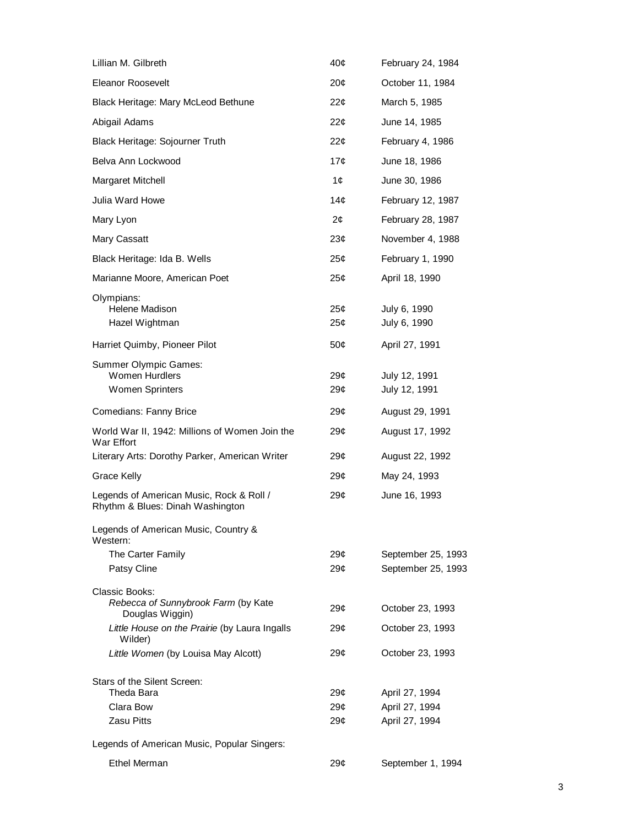| Lillian M. Gilbreth                                                          | 40¢                                | February 24, 1984                        |
|------------------------------------------------------------------------------|------------------------------------|------------------------------------------|
| <b>Eleanor Roosevelt</b>                                                     | $20\mathcal{C}$                    | October 11, 1984                         |
| Black Heritage: Mary McLeod Bethune                                          | $22\mathcal{C}$                    | March 5, 1985                            |
| Abigail Adams                                                                | 22 <sub>0</sub>                    | June 14, 1985                            |
| Black Heritage: Sojourner Truth                                              | $22\mathcal{C}$                    | February 4, 1986                         |
| Belva Ann Lockwood                                                           | 17¢                                | June 18, 1986                            |
| Margaret Mitchell                                                            | 1¢                                 | June 30, 1986                            |
| Julia Ward Howe                                                              | 14¢                                | February 12, 1987                        |
| Mary Lyon                                                                    | 2 <sub>c</sub>                     | February 28, 1987                        |
| Mary Cassatt                                                                 | 23 <sub>c</sub>                    | November 4, 1988                         |
| Black Heritage: Ida B. Wells                                                 | 25¢                                | February 1, 1990                         |
| Marianne Moore, American Poet                                                | 25¢                                | April 18, 1990                           |
| Olympians:<br>Helene Madison<br>Hazel Wightman                               | 25¢<br>25¢                         | July 6, 1990<br>July 6, 1990             |
| Harriet Quimby, Pioneer Pilot                                                | 50¢                                | April 27, 1991                           |
| Summer Olympic Games:<br><b>Women Hurdlers</b><br><b>Women Sprinters</b>     | 29¢<br>29¢                         | July 12, 1991<br>July 12, 1991           |
| Comedians: Fanny Brice                                                       | 29¢                                | August 29, 1991                          |
| World War II, 1942: Millions of Women Join the<br>War Effort                 | 29¢                                | August 17, 1992                          |
| Literary Arts: Dorothy Parker, American Writer                               | 29¢                                | August 22, 1992                          |
| Grace Kelly                                                                  | 29¢                                | May 24, 1993                             |
| Legends of American Music, Rock & Roll /<br>Rhythm & Blues: Dinah Washington | 29¢                                | June 16, 1993                            |
| Legends of American Music, Country &<br>Western:                             |                                    |                                          |
| The Carter Family<br>Patsy Cline                                             | 29¢<br>29 <sub>c</sub>             | September 25, 1993<br>September 25, 1993 |
| Classic Books:<br>Rebecca of Sunnybrook Farm (by Kate<br>Douglas Wiggin)     | 29 <sub>c</sub>                    | October 23, 1993                         |
| Little House on the Prairie (by Laura Ingalls<br>Wilder)                     | 29¢                                | October 23, 1993                         |
| Little Women (by Louisa May Alcott)                                          | 29¢                                | October 23, 1993                         |
| Stars of the Silent Screen:<br>Theda Bara<br>Clara Bow                       | 29 <sub>c</sub><br>29 <sub>c</sub> | April 27, 1994<br>April 27, 1994         |
| <b>Zasu Pitts</b>                                                            | 29 <sub>c</sub>                    | April 27, 1994                           |
| Legends of American Music, Popular Singers:                                  |                                    |                                          |
| <b>Ethel Merman</b>                                                          | 29¢                                | September 1, 1994                        |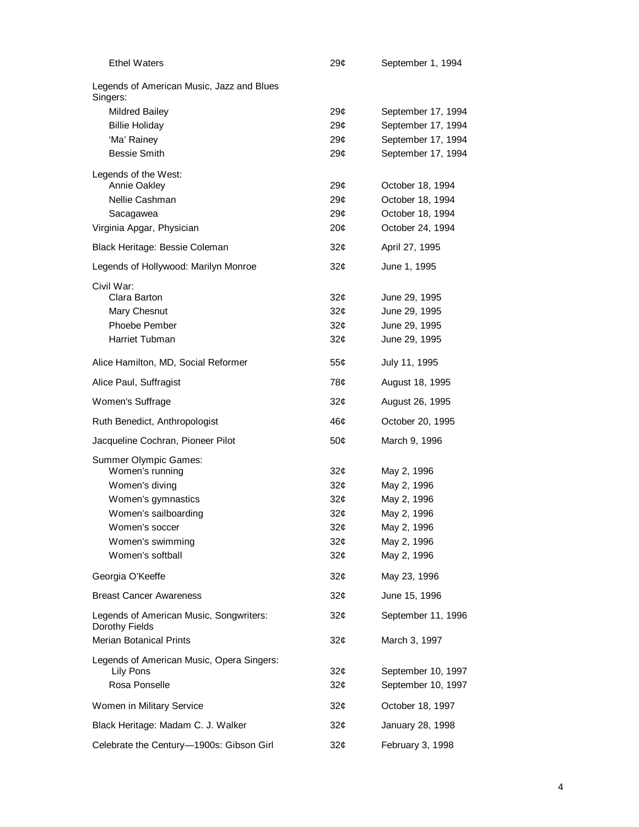| <b>Ethel Waters</b>                                       | 29¢             | September 1, 1994  |
|-----------------------------------------------------------|-----------------|--------------------|
| Legends of American Music, Jazz and Blues<br>Singers:     |                 |                    |
| <b>Mildred Bailey</b>                                     | 29¢             | September 17, 1994 |
| <b>Billie Holiday</b>                                     | 29 <sub>c</sub> | September 17, 1994 |
| 'Ma' Rainey                                               | 29 <sub>c</sub> | September 17, 1994 |
| <b>Bessie Smith</b>                                       | 29¢             | September 17, 1994 |
| Legends of the West:                                      |                 |                    |
| <b>Annie Oakley</b>                                       | 29¢             | October 18, 1994   |
| Nellie Cashman                                            | 29¢             | October 18, 1994   |
| Sacagawea                                                 | 29 <sub>c</sub> | October 18, 1994   |
| Virginia Apgar, Physician                                 | 20¢             | October 24, 1994   |
| Black Heritage: Bessie Coleman                            | 32¢             | April 27, 1995     |
| Legends of Hollywood: Marilyn Monroe                      | 32¢             | June 1, 1995       |
| Civil War:                                                |                 |                    |
| Clara Barton                                              | 32¢             | June 29, 1995      |
| Mary Chesnut                                              | 32 <sub>c</sub> | June 29, 1995      |
| Phoebe Pember                                             | 32¢             | June 29, 1995      |
| Harriet Tubman                                            | 32¢             | June 29, 1995      |
| Alice Hamilton, MD, Social Reformer                       | 55¢             | July 11, 1995      |
| Alice Paul, Suffragist                                    | 78¢             | August 18, 1995    |
| Women's Suffrage                                          | 32 <sub>0</sub> | August 26, 1995    |
| Ruth Benedict, Anthropologist                             | 46¢             | October 20, 1995   |
| Jacqueline Cochran, Pioneer Pilot                         | 50¢             | March 9, 1996      |
| Summer Olympic Games:                                     |                 |                    |
| Women's running                                           | 32¢             | May 2, 1996        |
| Women's diving                                            | 32¢             | May 2, 1996        |
| Women's gymnastics                                        | 32¢             | May 2, 1996        |
| Women's sailboarding                                      | 32¢             | May 2, 1996        |
| Women's soccer                                            | 32¢             | May 2, 1996        |
| Women's swimming                                          | 32¢             | May 2, 1996        |
| Women's softball                                          | 32¢             | May 2, 1996        |
| Georgia O'Keeffe                                          | 32¢             | May 23, 1996       |
| <b>Breast Cancer Awareness</b>                            | 32¢             | June 15, 1996      |
| Legends of American Music, Songwriters:<br>Dorothy Fields | 32¢             | September 11, 1996 |
| <b>Merian Botanical Prints</b>                            | 32¢             | March 3, 1997      |
| Legends of American Music, Opera Singers:                 |                 |                    |
| Lily Pons                                                 | 32¢             | September 10, 1997 |
| Rosa Ponselle                                             | 32¢             | September 10, 1997 |
| Women in Military Service                                 | 32¢             | October 18, 1997   |
| Black Heritage: Madam C. J. Walker                        | 32¢             | January 28, 1998   |
| Celebrate the Century-1900s: Gibson Girl                  | 32¢             | February 3, 1998   |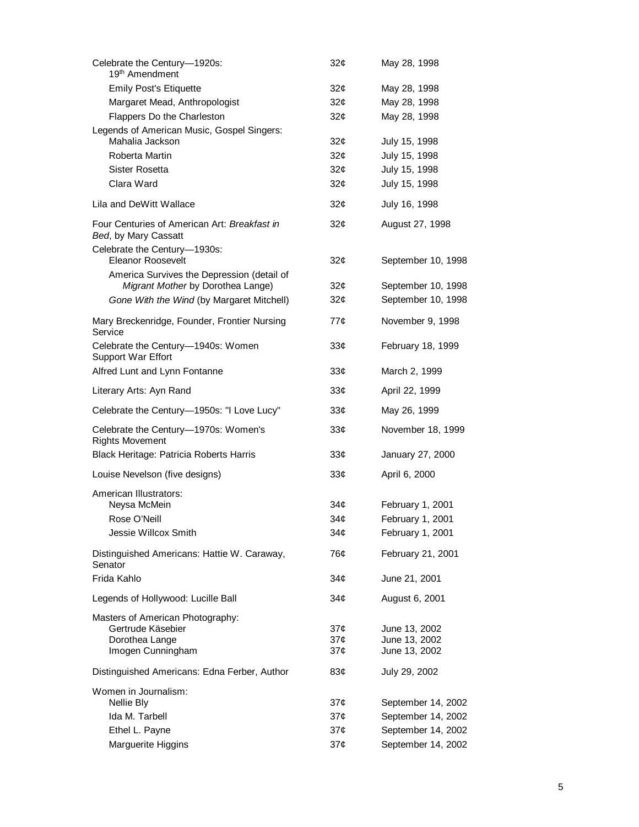| Celebrate the Century-1920s:<br>19 <sup>th</sup> Amendment           | 32 <sub>0</sub> | May 28, 1998       |
|----------------------------------------------------------------------|-----------------|--------------------|
| <b>Emily Post's Etiquette</b>                                        | 32¢             | May 28, 1998       |
| Margaret Mead, Anthropologist                                        | 32¢             | May 28, 1998       |
| Flappers Do the Charleston                                           | 32 <sub>0</sub> | May 28, 1998       |
| Legends of American Music, Gospel Singers:                           |                 |                    |
| Mahalia Jackson                                                      | 32¢             | July 15, 1998      |
| Roberta Martin                                                       | 32 <sub>0</sub> | July 15, 1998      |
| Sister Rosetta                                                       | 32 <sub>0</sub> | July 15, 1998      |
| Clara Ward                                                           | 32¢             | July 15, 1998      |
| Lila and DeWitt Wallace                                              | 32 <sub>0</sub> | July 16, 1998      |
| Four Centuries of American Art: Breakfast in<br>Bed, by Mary Cassatt | 32 <sub>0</sub> | August 27, 1998    |
| Celebrate the Century-1930s:                                         |                 |                    |
| <b>Eleanor Roosevelt</b>                                             | 32¢             | September 10, 1998 |
| America Survives the Depression (detail of                           |                 |                    |
| Migrant Mother by Dorothea Lange)                                    | 32¢             | September 10, 1998 |
| Gone With the Wind (by Margaret Mitchell)                            | 32¢             | September 10, 1998 |
| Mary Breckenridge, Founder, Frontier Nursing<br>Service              | 77¢             | November 9, 1998   |
| Celebrate the Century-1940s: Women<br><b>Support War Effort</b>      | 33¢             | February 18, 1999  |
| Alfred Lunt and Lynn Fontanne                                        | 33¢             | March 2, 1999      |
| Literary Arts: Ayn Rand                                              | 33 <sub>c</sub> | April 22, 1999     |
| Celebrate the Century-1950s: "I Love Lucy"                           | 33 <sub>c</sub> | May 26, 1999       |
| Celebrate the Century-1970s: Women's<br><b>Rights Movement</b>       | 33 <sub>c</sub> | November 18, 1999  |
| Black Heritage: Patricia Roberts Harris                              | 33¢             | January 27, 2000   |
| Louise Nevelson (five designs)                                       | 33 <sub>c</sub> | April 6, 2000      |
| American Illustrators:                                               |                 |                    |
| Neysa McMein                                                         | 34¢             | February 1, 2001   |
| Rose O'Neill                                                         | 34¢             | February 1, 2001   |
| Jessie Willcox Smith                                                 | 34¢             | February 1, 2001   |
| Distinguished Americans: Hattie W. Caraway,<br>Senator               | 76¢             | February 21, 2001  |
| Frida Kahlo                                                          | 34¢             | June 21, 2001      |
| Legends of Hollywood: Lucille Ball                                   | 34 <sub>c</sub> | August 6, 2001     |
| Masters of American Photography:                                     |                 |                    |
| Gertrude Käsebier                                                    | 37¢             | June 13, 2002      |
| Dorothea Lange                                                       | 37¢             | June 13, 2002      |
| Imogen Cunningham                                                    | 37¢             | June 13, 2002      |
| Distinguished Americans: Edna Ferber, Author                         | 83¢             | July 29, 2002      |
| Women in Journalism:                                                 |                 |                    |
| Nellie Bly                                                           | 37¢             | September 14, 2002 |
| Ida M. Tarbell                                                       | 37¢             | September 14, 2002 |
| Ethel L. Payne                                                       | 37 <sub>c</sub> | September 14, 2002 |
| Marguerite Higgins                                                   | 37¢             | September 14, 2002 |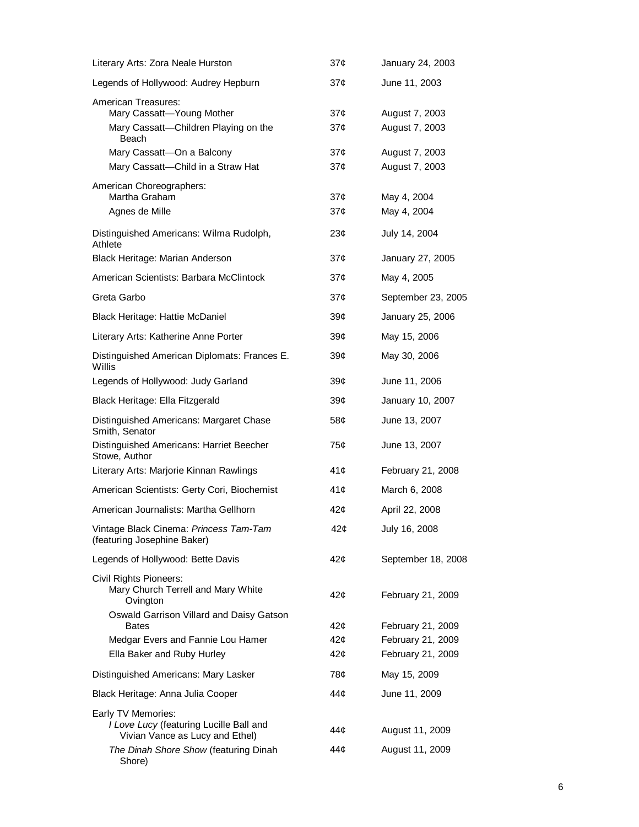| Literary Arts: Zora Neale Hurston                                                                | 37¢                                | January 24, 2003                 |
|--------------------------------------------------------------------------------------------------|------------------------------------|----------------------------------|
| Legends of Hollywood: Audrey Hepburn                                                             | $37\mathcal{C}$                    | June 11, 2003                    |
| American Treasures:<br>Mary Cassatt-Young Mother<br>Mary Cassatt-Children Playing on the         | 37 <sub>c</sub><br>37¢             | August 7, 2003<br>August 7, 2003 |
| Beach<br>Mary Cassatt-On a Balcony<br>Mary Cassatt-Child in a Straw Hat                          | 37¢<br>37¢                         | August 7, 2003<br>August 7, 2003 |
| American Choreographers:<br>Martha Graham<br>Agnes de Mille                                      | 37 <sub>c</sub><br>$37\mathcal{C}$ | May 4, 2004<br>May 4, 2004       |
| Distinguished Americans: Wilma Rudolph,<br>Athlete                                               | 23 <sub>c</sub>                    | July 14, 2004                    |
| Black Heritage: Marian Anderson                                                                  | 37 <sub>c</sub>                    | January 27, 2005                 |
| American Scientists: Barbara McClintock                                                          | 37¢                                | May 4, 2005                      |
| Greta Garbo                                                                                      | 37 <sub>c</sub>                    | September 23, 2005               |
| Black Heritage: Hattie McDaniel                                                                  | 39 <sub>c</sub>                    | January 25, 2006                 |
| Literary Arts: Katherine Anne Porter                                                             | 39 <sub>c</sub>                    | May 15, 2006                     |
| Distinguished American Diplomats: Frances E.<br>Willis                                           | 39 <sub>c</sub>                    | May 30, 2006                     |
| Legends of Hollywood: Judy Garland                                                               | 39¢                                | June 11, 2006                    |
| Black Heritage: Ella Fitzgerald                                                                  | 39 <sub>c</sub>                    | January 10, 2007                 |
| Distinguished Americans: Margaret Chase<br>Smith, Senator                                        | 58¢                                | June 13, 2007                    |
| Distinguished Americans: Harriet Beecher<br>Stowe, Author                                        | 75¢                                | June 13, 2007                    |
| Literary Arts: Marjorie Kinnan Rawlings                                                          | 41¢                                | February 21, 2008                |
| American Scientists: Gerty Cori, Biochemist                                                      | 41¢                                | March 6, 2008                    |
| American Journalists: Martha Gellhorn                                                            | 42¢                                | April 22, 2008                   |
| Vintage Black Cinema: Princess Tam-Tam<br>(featuring Josephine Baker)                            | 42¢                                | July 16, 2008                    |
| Legends of Hollywood: Bette Davis                                                                | 42¢                                | September 18, 2008               |
| Civil Rights Pioneers:<br>Mary Church Terrell and Mary White<br>Ovington                         | 42¢                                | February 21, 2009                |
| Oswald Garrison Villard and Daisy Gatson<br><b>Bates</b>                                         | 42¢                                | February 21, 2009                |
| Medgar Evers and Fannie Lou Hamer                                                                | 42¢                                | February 21, 2009                |
| Ella Baker and Ruby Hurley                                                                       | 42¢                                | February 21, 2009                |
| Distinguished Americans: Mary Lasker                                                             | 78¢                                | May 15, 2009                     |
| Black Heritage: Anna Julia Cooper                                                                | 44 <sub>¢</sub>                    | June 11, 2009                    |
| Early TV Memories:<br>I Love Lucy (featuring Lucille Ball and<br>Vivian Vance as Lucy and Ethel) | 44¢                                | August 11, 2009                  |
| The Dinah Shore Show (featuring Dinah<br>Shore)                                                  | 44¢                                | August 11, 2009                  |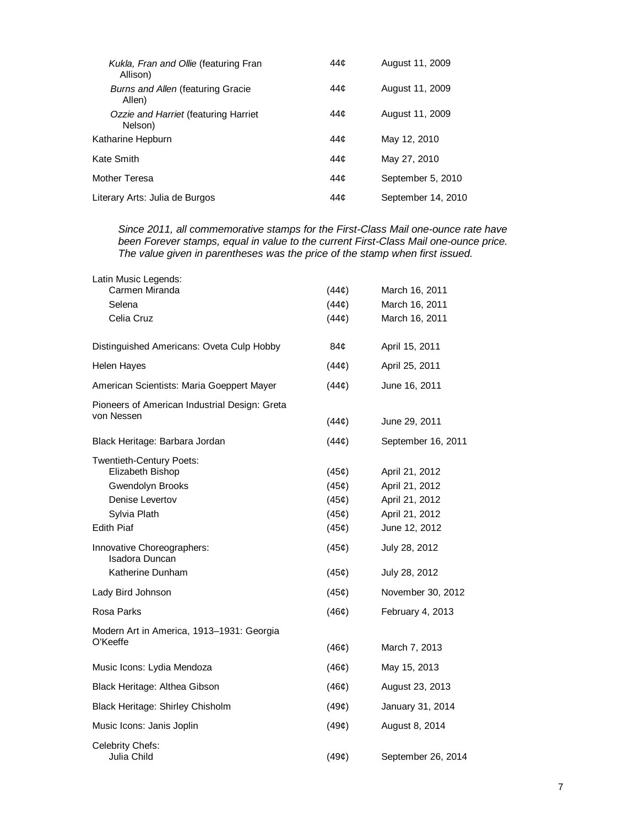| Kukla, Fran and Ollie (featuring Fran<br>Allison)  | 44¢ | August 11, 2009    |
|----------------------------------------------------|-----|--------------------|
| <b>Burns and Allen (featuring Gracie</b><br>Allen) | 44¢ | August 11, 2009    |
| Ozzie and Harriet (featuring Harriet<br>Nelson)    | 44¢ | August 11, 2009    |
| Katharine Hepburn                                  | 44¢ | May 12, 2010       |
| Kate Smith                                         | 44¢ | May 27, 2010       |
| Mother Teresa                                      | 44¢ | September 5, 2010  |
| Literary Arts: Julia de Burgos                     | 44¢ | September 14, 2010 |

*Since 2011, all commemorative stamps for the First-Class Mail one-ounce rate have been Forever stamps, equal in value to the current First-Class Mail one-ounce price. The value given in parentheses was the price of the stamp when first issued.* 

| Latin Music Legends:<br>Carmen Miranda                                                              | (44¢)                            | March 16, 2011                                                       |
|-----------------------------------------------------------------------------------------------------|----------------------------------|----------------------------------------------------------------------|
| Selena                                                                                              | (44¢)                            | March 16, 2011                                                       |
| Celia Cruz                                                                                          | (44¢)                            | March 16, 2011                                                       |
| Distinguished Americans: Oveta Culp Hobby                                                           | 84¢                              | April 15, 2011                                                       |
| <b>Helen Hayes</b>                                                                                  | (44¢)                            | April 25, 2011                                                       |
| American Scientists: Maria Goeppert Mayer                                                           | (44¢)                            | June 16, 2011                                                        |
| Pioneers of American Industrial Design: Greta<br>von Nessen                                         | (44¢)                            | June 29, 2011                                                        |
| Black Heritage: Barbara Jordan                                                                      | (44¢)                            | September 16, 2011                                                   |
| Twentieth-Century Poets:<br>Elizabeth Bishop<br>Gwendolyn Brooks<br>Denise Levertov<br>Sylvia Plath | (45¢)<br>(45¢)<br>(45¢)<br>(45¢) | April 21, 2012<br>April 21, 2012<br>April 21, 2012<br>April 21, 2012 |
| <b>Edith Piaf</b>                                                                                   | (45¢)                            | June 12, 2012                                                        |
| Innovative Choreographers:<br>Isadora Duncan                                                        | (45¢)                            | July 28, 2012                                                        |
| Katherine Dunham                                                                                    | (45¢)                            | July 28, 2012                                                        |
| Lady Bird Johnson                                                                                   | (45¢)                            | November 30, 2012                                                    |
| Rosa Parks                                                                                          | (46¢)                            | February 4, 2013                                                     |
| Modern Art in America, 1913-1931: Georgia<br>O'Keeffe                                               | (46¢)                            | March 7, 2013                                                        |
| Music Icons: Lydia Mendoza                                                                          | (46¢)                            | May 15, 2013                                                         |
| Black Heritage: Althea Gibson                                                                       | (46¢)                            | August 23, 2013                                                      |
| Black Heritage: Shirley Chisholm                                                                    | (49¢)                            | January 31, 2014                                                     |
| Music Icons: Janis Joplin                                                                           | (49¢)                            | August 8, 2014                                                       |
| Celebrity Chefs:<br>Julia Child                                                                     | (49¢)                            | September 26, 2014                                                   |